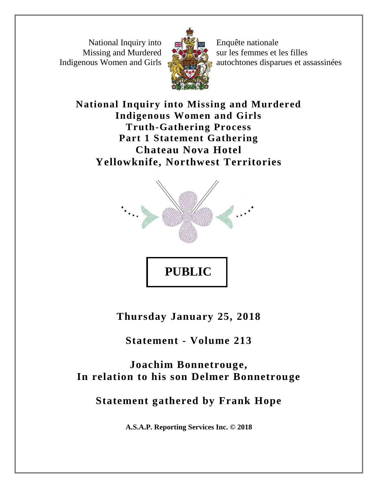National Inquiry into Missing and Murdered Indigenous Women and Girls



Enquête nationale sur les femmes et les filles autochtones disparues et assassinées

**National Inquiry into Missing and Murdered Indigenous Women and Girls Truth-Gathering Process Part 1 Statement Gathering Chateau Nova Hotel Yellowknife, Northwest Territories**



**Thursday January 25, 2018**

**Statement - Volume 213**

**Joachim Bonnetrouge, In relation to his son Delmer Bonnetrouge**

**Statement gathered by Frank Hope**

**A.S.A.P. Reporting Services Inc. © 2018**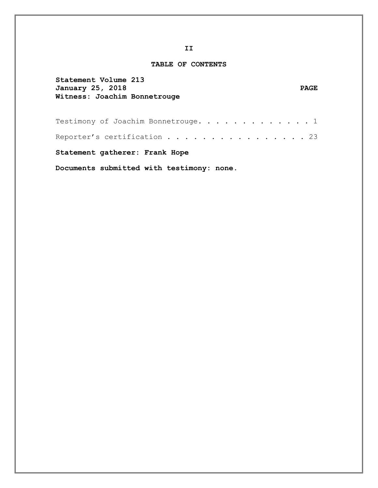#### **TABLE OF CONTENTS**

| Statement Volume 213<br>January 25, 2018<br>Witness: Joachim Bonnetrouge | <b>PAGE</b> |
|--------------------------------------------------------------------------|-------------|
| Testimony of Joachim Bonnetrouge. 1                                      |             |
| Reporter's certification $\ldots$ 23                                     |             |
| Statement gatherer: Frank Hope                                           |             |
| Documents submitted with testimony: none.                                |             |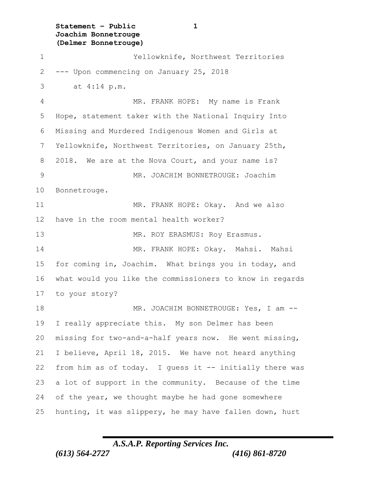**Statement – Public 1 Joachim Bonnetrouge (Delmer Bonnetrouge)**

 Yellowknife, Northwest Territories --- Upon commencing on January 25, 2018 3 at 4:14 p.m. MR. FRANK HOPE: My name is Frank Hope, statement taker with the National Inquiry Into Missing and Murdered Indigenous Women and Girls at Yellowknife, Northwest Territories, on January 25th, 2018. We are at the Nova Court, and your name is? MR. JOACHIM BONNETROUGE: Joachim Bonnetrouge. MR. FRANK HOPE: Okay. And we also have in the room mental health worker? 13 MR. ROY ERASMUS: Roy Erasmus. MR. FRANK HOPE: Okay. Mahsi. Mahsi for coming in, Joachim. What brings you in today, and what would you like the commissioners to know in regards to your story? 18 MR. JOACHIM BONNETROUGE: Yes, I am -- I really appreciate this. My son Delmer has been missing for two-and-a-half years now. He went missing, I believe, April 18, 2015. We have not heard anything from him as of today. I guess it -- initially there was a lot of support in the community. Because of the time 24 of the year, we thought maybe he had gone somewhere hunting, it was slippery, he may have fallen down, hurt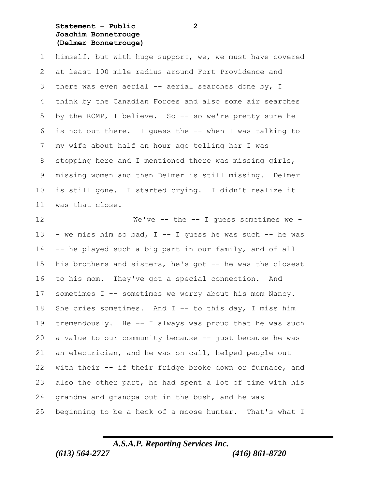**Statement – Public 2 Joachim Bonnetrouge (Delmer Bonnetrouge)**

 himself, but with huge support, we, we must have covered at least 100 mile radius around Fort Providence and there was even aerial -- aerial searches done by, I think by the Canadian Forces and also some air searches by the RCMP, I believe. So -- so we're pretty sure he is not out there. I guess the -- when I was talking to my wife about half an hour ago telling her I was stopping here and I mentioned there was missing girls, missing women and then Delmer is still missing. Delmer is still gone. I started crying. I didn't realize it was that close.

 We've -- the -- I guess sometimes we - 13 - we miss him so bad,  $I - I$  quess he was such  $-$  he was -- he played such a big part in our family, and of all his brothers and sisters, he's got -- he was the closest to his mom. They've got a special connection. And sometimes I -- sometimes we worry about his mom Nancy. 18 She cries sometimes. And I -- to this day, I miss him tremendously. He -- I always was proud that he was such a value to our community because -- just because he was an electrician, and he was on call, helped people out with their -- if their fridge broke down or furnace, and also the other part, he had spent a lot of time with his grandma and grandpa out in the bush, and he was beginning to be a heck of a moose hunter. That's what I

## *A.S.A.P. Reporting Services Inc.*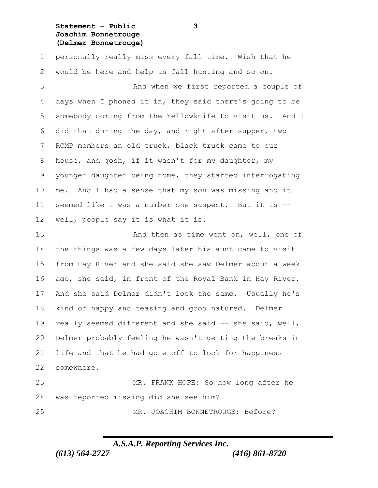### **Statement – Public 3 Joachim Bonnetrouge (Delmer Bonnetrouge)**

 personally really miss every fall time. Wish that he would be here and help us fall hunting and so on.

 And when we first reported a couple of days when I phoned it in, they said there's going to be somebody coming from the Yellowknife to visit us. And I did that during the day, and right after supper, two RCMP members an old truck, black truck came to our house, and gosh, if it wasn't for my daughter, my younger daughter being home, they started interrogating me. And I had a sense that my son was missing and it seemed like I was a number one suspect. But it is -- well, people say it is what it is.

13 And then as time went on, well, one of the things was a few days later his aunt came to visit from Hay River and she said she saw Delmer about a week ago, she said, in front of the Royal Bank in Hay River. And she said Delmer didn't look the same. Usually he's kind of happy and teasing and good natured. Delmer really seemed different and she said -- she said, well, Delmer probably feeling he wasn't getting the breaks in life and that he had gone off to look for happiness somewhere.

 MR. FRANK HOPE: So how long after he was reported missing did she see him?

MR. JOACHIM BONNETROUGE: Before?

# *A.S.A.P. Reporting Services Inc.*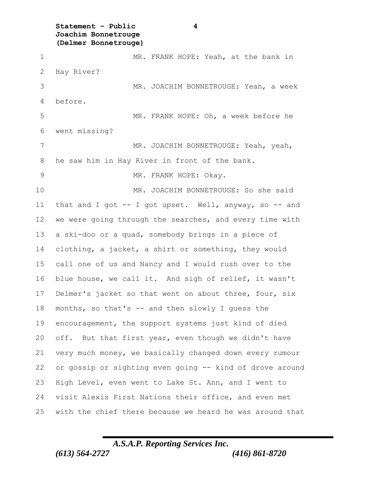**Statement – Public 4 Joachim Bonnetrouge (Delmer Bonnetrouge)**

 MR. FRANK HOPE: Yeah, at the bank in Hay River? MR. JOACHIM BONNETROUGE: Yeah, a week before. MR. FRANK HOPE: Oh, a week before he went missing? 7 MR. JOACHIM BONNETROUGE: Yeah, yeah, he saw him in Hay River in front of the bank. MR. FRANK HOPE: Okay. MR. JOACHIM BONNETROUGE: So she said that and I got -- I got upset. Well, anyway, so -- and we were going through the searches, and every time with a ski-doo or a quad, somebody brings in a piece of clothing, a jacket, a shirt or something, they would call one of us and Nancy and I would rush over to the blue house, we call it. And sigh of relief, it wasn't Delmer's jacket so that went on about three, four, six months, so that's -- and then slowly I guess the encouragement, the support systems just kind of died off. But that first year, even though we didn't have very much money, we basically changed down every rumour or gossip or sighting even going -- kind of drove around High Level, even went to Lake St. Ann, and I went to visit Alexis First Nations their office, and even met with the chief there because we heard he was around that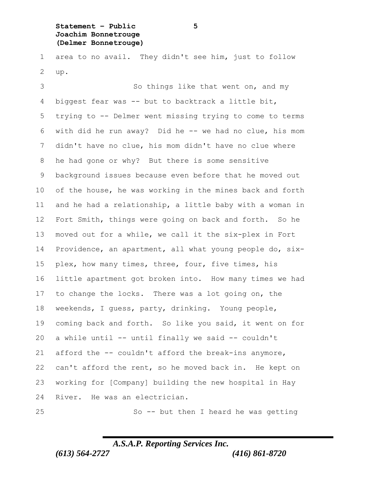**Statement – Public 5 Joachim Bonnetrouge (Delmer Bonnetrouge)**

 area to no avail. They didn't see him, just to follow up.

3 So things like that went on, and my biggest fear was -- but to backtrack a little bit, trying to -- Delmer went missing trying to come to terms with did he run away? Did he -- we had no clue, his mom didn't have no clue, his mom didn't have no clue where he had gone or why? But there is some sensitive background issues because even before that he moved out of the house, he was working in the mines back and forth and he had a relationship, a little baby with a woman in Fort Smith, things were going on back and forth. So he moved out for a while, we call it the six-plex in Fort Providence, an apartment, all what young people do, six- plex, how many times, three, four, five times, his little apartment got broken into. How many times we had to change the locks. There was a lot going on, the weekends, I guess, party, drinking. Young people, coming back and forth. So like you said, it went on for a while until -- until finally we said -- couldn't afford the -- couldn't afford the break-ins anymore, can't afford the rent, so he moved back in. He kept on working for [Company] building the new hospital in Hay River. He was an electrician.

So -- but then I heard he was getting

## *A.S.A.P. Reporting Services Inc.*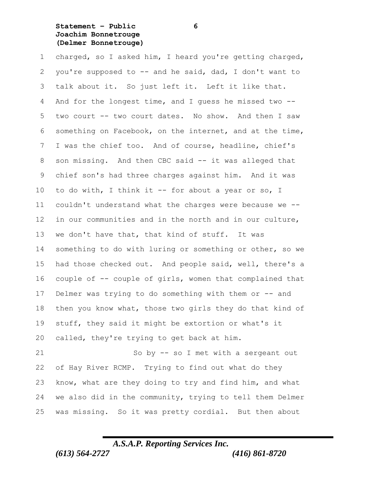### **Statement – Public 6 Joachim Bonnetrouge (Delmer Bonnetrouge)**

 charged, so I asked him, I heard you're getting charged, you're supposed to -- and he said, dad, I don't want to talk about it. So just left it. Left it like that. And for the longest time, and I guess he missed two -- two court -- two court dates. No show. And then I saw something on Facebook, on the internet, and at the time, I was the chief too. And of course, headline, chief's son missing. And then CBC said -- it was alleged that chief son's had three charges against him. And it was 10 to do with, I think it -- for about a year or so, I couldn't understand what the charges were because we -- in our communities and in the north and in our culture, 13 we don't have that, that kind of stuff. It was something to do with luring or something or other, so we had those checked out. And people said, well, there's a couple of -- couple of girls, women that complained that 17 Delmer was trying to do something with them or -- and then you know what, those two girls they do that kind of stuff, they said it might be extortion or what's it called, they're trying to get back at him.

 So by -- so I met with a sergeant out of Hay River RCMP. Trying to find out what do they know, what are they doing to try and find him, and what we also did in the community, trying to tell them Delmer was missing. So it was pretty cordial. But then about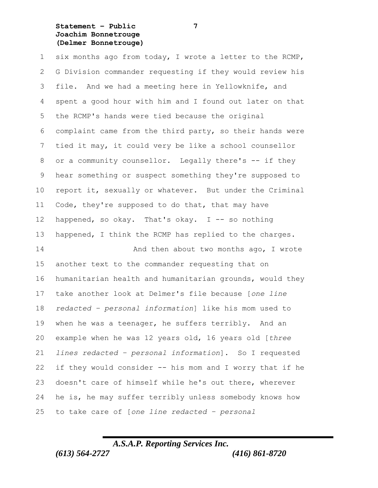### **Statement – Public 7 Joachim Bonnetrouge (Delmer Bonnetrouge)**

 six months ago from today, I wrote a letter to the RCMP, G Division commander requesting if they would review his file. And we had a meeting here in Yellowknife, and spent a good hour with him and I found out later on that the RCMP's hands were tied because the original complaint came from the third party, so their hands were tied it may, it could very be like a school counsellor 8 or a community counsellor. Legally there's -- if they hear something or suspect something they're supposed to report it, sexually or whatever. But under the Criminal Code, they're supposed to do that, that may have 12 happened, so okay. That's okay.  $I$  -- so nothing happened, I think the RCMP has replied to the charges.

**And then about two months ago, I wrote**  another text to the commander requesting that on humanitarian health and humanitarian grounds, would they take another look at Delmer's file because [*one line redacted – personal information*] like his mom used to when he was a teenager, he suffers terribly. And an example when he was 12 years old, 16 years old [*three lines redacted – personal information*]. So I requested if they would consider -- his mom and I worry that if he doesn't care of himself while he's out there, wherever he is, he may suffer terribly unless somebody knows how to take care of [*one line redacted – personal*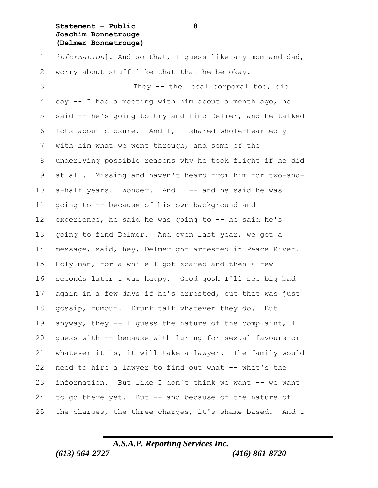### **Statement – Public 8 Joachim Bonnetrouge (Delmer Bonnetrouge)**

 *information*]. And so that, I guess like any mom and dad, worry about stuff like that that he be okay.

 They -- the local corporal too, did say -- I had a meeting with him about a month ago, he said -- he's going to try and find Delmer, and he talked lots about closure. And I, I shared whole-heartedly with him what we went through, and some of the underlying possible reasons why he took flight if he did at all. Missing and haven't heard from him for two-and- a-half years. Wonder. And I -- and he said he was going to -- because of his own background and experience, he said he was going to -- he said he's going to find Delmer. And even last year, we got a message, said, hey, Delmer got arrested in Peace River. Holy man, for a while I got scared and then a few seconds later I was happy. Good gosh I'll see big bad again in a few days if he's arrested, but that was just gossip, rumour. Drunk talk whatever they do. But anyway, they -- I guess the nature of the complaint, I guess with -- because with luring for sexual favours or whatever it is, it will take a lawyer. The family would need to hire a lawyer to find out what -- what's the information. But like I don't think we want -- we want to go there yet. But -- and because of the nature of the charges, the three charges, it's shame based. And I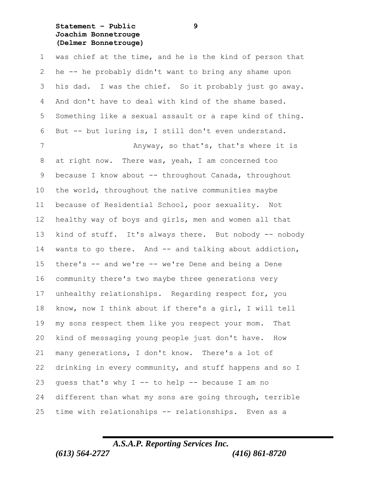**Statement – Public 9 Joachim Bonnetrouge (Delmer Bonnetrouge)**

 was chief at the time, and he is the kind of person that he -- he probably didn't want to bring any shame upon his dad. I was the chief. So it probably just go away. And don't have to deal with kind of the shame based. Something like a sexual assault or a rape kind of thing. But -- but luring is, I still don't even understand. 7 Anyway, so that's, that's where it is at right now. There was, yeah, I am concerned too 9 because I know about -- throughout Canada, throughout the world, throughout the native communities maybe because of Residential School, poor sexuality. Not healthy way of boys and girls, men and women all that kind of stuff. It's always there. But nobody -- nobody 14 wants to go there. And -- and talking about addiction, there's -- and we're -- we're Dene and being a Dene community there's two maybe three generations very unhealthy relationships. Regarding respect for, you know, now I think about if there's a girl, I will tell my sons respect them like you respect your mom. That kind of messaging young people just don't have. How many generations, I don't know. There's a lot of

 drinking in every community, and stuff happens and so I guess that's why I -- to help -- because I am no different than what my sons are going through, terrible time with relationships -- relationships. Even as a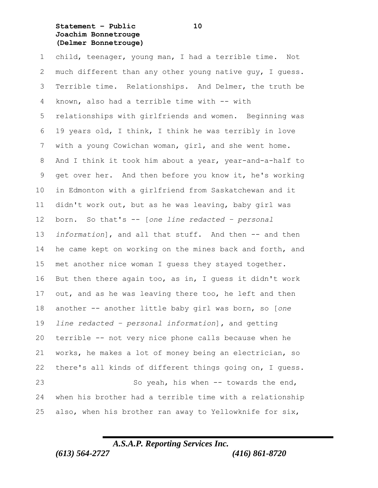**Statement – Public 10 Joachim Bonnetrouge (Delmer Bonnetrouge)**

 child, teenager, young man, I had a terrible time. Not much different than any other young native guy, I guess. Terrible time. Relationships. And Delmer, the truth be known, also had a terrible time with -- with relationships with girlfriends and women. Beginning was 19 years old, I think, I think he was terribly in love with a young Cowichan woman, girl, and she went home. And I think it took him about a year, year-and-a-half to get over her. And then before you know it, he's working in Edmonton with a girlfriend from Saskatchewan and it didn't work out, but as he was leaving, baby girl was born. So that's -- [*one line redacted – personal information*], and all that stuff. And then -- and then he came kept on working on the mines back and forth, and met another nice woman I guess they stayed together. But then there again too, as in, I guess it didn't work out, and as he was leaving there too, he left and then another -- another little baby girl was born, so [*one line redacted – personal information*]**,** and getting terrible -- not very nice phone calls because when he works, he makes a lot of money being an electrician, so there's all kinds of different things going on, I guess. So yeah, his when -- towards the end, when his brother had a terrible time with a relationship also, when his brother ran away to Yellowknife for six,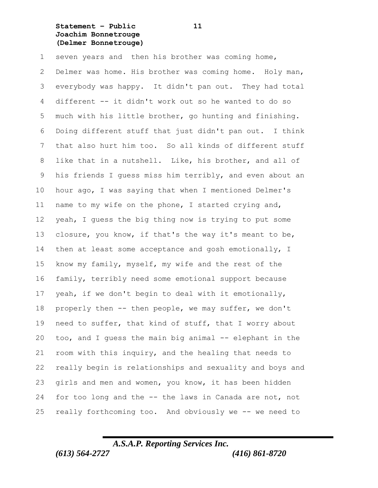**Statement – Public 11 Joachim Bonnetrouge (Delmer Bonnetrouge)**

seven years and then his brother was coming home,

 Delmer was home. His brother was coming home. Holy man, everybody was happy. It didn't pan out. They had total different -- it didn't work out so he wanted to do so much with his little brother, go hunting and finishing. Doing different stuff that just didn't pan out. I think that also hurt him too. So all kinds of different stuff like that in a nutshell. Like, his brother, and all of his friends I guess miss him terribly, and even about an hour ago, I was saying that when I mentioned Delmer's name to my wife on the phone, I started crying and, yeah, I guess the big thing now is trying to put some closure, you know, if that's the way it's meant to be, 14 then at least some acceptance and gosh emotionally, I know my family, myself, my wife and the rest of the family, terribly need some emotional support because yeah, if we don't begin to deal with it emotionally, properly then -- then people, we may suffer, we don't need to suffer, that kind of stuff, that I worry about too, and I guess the main big animal -- elephant in the room with this inquiry, and the healing that needs to really begin is relationships and sexuality and boys and girls and men and women, you know, it has been hidden for too long and the -- the laws in Canada are not, not really forthcoming too. And obviously we -- we need to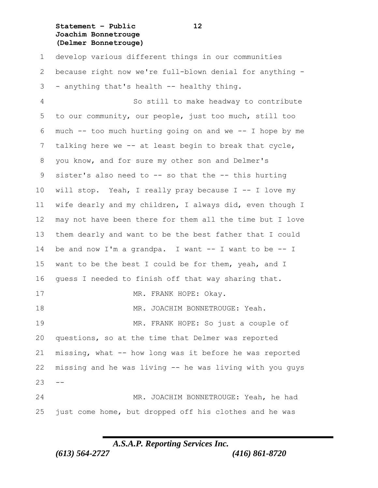### **Statement – Public 12 Joachim Bonnetrouge (Delmer Bonnetrouge)**

 develop various different things in our communities because right now we're full-blown denial for anything - - anything that's health -- healthy thing.

 So still to make headway to contribute to our community, our people, just too much, still too much -- too much hurting going on and we -- I hope by me talking here we -- at least begin to break that cycle, you know, and for sure my other son and Delmer's sister's also need to -- so that the -- this hurting will stop. Yeah, I really pray because I -- I love my wife dearly and my children, I always did, even though I may not have been there for them all the time but I love them dearly and want to be the best father that I could be and now I'm a grandpa. I want -- I want to be -- I want to be the best I could be for them, yeah, and I guess I needed to finish off that way sharing that. 17 MR. FRANK HOPE: Okay. 18 MR. JOACHIM BONNETROUGE: Yeah. MR. FRANK HOPE: So just a couple of questions, so at the time that Delmer was reported missing, what -- how long was it before he was reported missing and he was living -- he was living with you guys  $23 - -$  MR. JOACHIM BONNETROUGE: Yeah, he had just come home, but dropped off his clothes and he was

## *A.S.A.P. Reporting Services Inc.*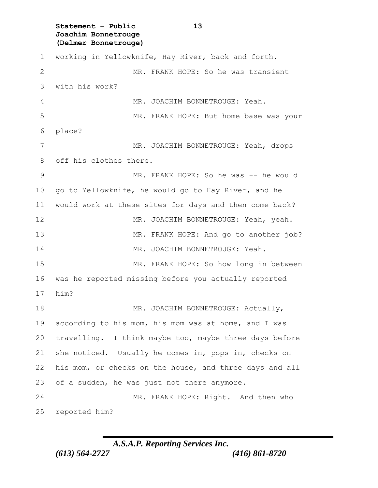**Statement – Public 13 Joachim Bonnetrouge (Delmer Bonnetrouge)** working in Yellowknife, Hay River, back and forth. MR. FRANK HOPE: So he was transient with his work? 4 MR. JOACHIM BONNETROUGE: Yeah. MR. FRANK HOPE: But home base was your place? 7 MR. JOACHIM BONNETROUGE: Yeah, drops off his clothes there. MR. FRANK HOPE: So he was -- he would go to Yellowknife, he would go to Hay River, and he would work at these sites for days and then come back? MR. JOACHIM BONNETROUGE: Yeah, yeah. MR. FRANK HOPE: And go to another job? MR. JOACHIM BONNETROUGE: Yeah. MR. FRANK HOPE: So how long in between was he reported missing before you actually reported him? 18 MR. JOACHIM BONNETROUGE: Actually, according to his mom, his mom was at home, and I was travelling. I think maybe too, maybe three days before she noticed. Usually he comes in, pops in, checks on his mom, or checks on the house, and three days and all of a sudden, he was just not there anymore. MR. FRANK HOPE: Right. And then who reported him?

*A.S.A.P. Reporting Services Inc.*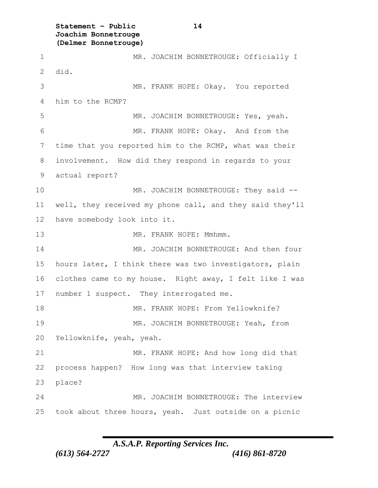**Statement – Public 14 Joachim Bonnetrouge (Delmer Bonnetrouge)**

1 MR. JOACHIM BONNETROUGE: Officially I 2 did. MR. FRANK HOPE: Okay. You reported him to the RCMP? 5 MR. JOACHIM BONNETROUGE: Yes, yeah. MR. FRANK HOPE: Okay. And from the time that you reported him to the RCMP, what was their involvement. How did they respond in regards to your actual report? 10 MR. JOACHIM BONNETROUGE: They said -- well, they received my phone call, and they said they'll have somebody look into it. 13 MR. FRANK HOPE: Mmhmm. MR. JOACHIM BONNETROUGE: And then four hours later, I think there was two investigators, plain clothes came to my house. Right away, I felt like I was 17 number 1 suspect. They interrogated me. 18 MR. FRANK HOPE: From Yellowknife? 19 MR. JOACHIM BONNETROUGE: Yeah, from Yellowknife, yeah, yeah. MR. FRANK HOPE: And how long did that process happen? How long was that interview taking 23 place? MR. JOACHIM BONNETROUGE: The interview took about three hours, yeah. Just outside on a picnic

*A.S.A.P. Reporting Services Inc.*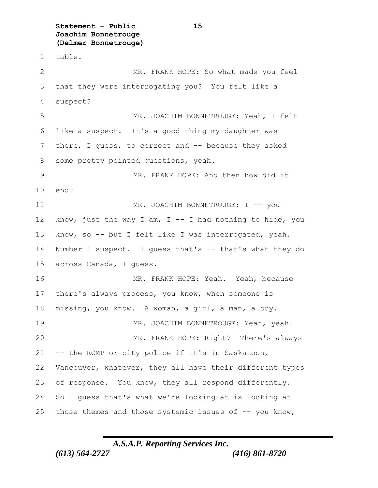**Statement – Public 15 Joachim Bonnetrouge (Delmer Bonnetrouge)**

table.

 MR. FRANK HOPE: So what made you feel that they were interrogating you? You felt like a suspect? MR. JOACHIM BONNETROUGE: Yeah, I felt like a suspect. It's a good thing my daughter was there, I guess, to correct and -- because they asked some pretty pointed questions, yeah. MR. FRANK HOPE: And then how did it end? 11 MR. JOACHIM BONNETROUGE: I -- you 12 know, just the way I am, I  $-$  I had nothing to hide, you know, so -- but I felt like I was interrogated, yeah. 14 Number 1 suspect. I guess that's -- that's what they do across Canada, I guess. MR. FRANK HOPE: Yeah. Yeah, because there's always process, you know, when someone is missing, you know. A woman, a girl, a man, a boy. MR. JOACHIM BONNETROUGE: Yeah, yeah. MR. FRANK HOPE: Right? There's always -- the RCMP or city police if it's in Saskatoon, Vancouver, whatever, they all have their different types of response. You know, they all respond differently. So I guess that's what we're looking at is looking at those themes and those systemic issues of -- you know,

*A.S.A.P. Reporting Services Inc.*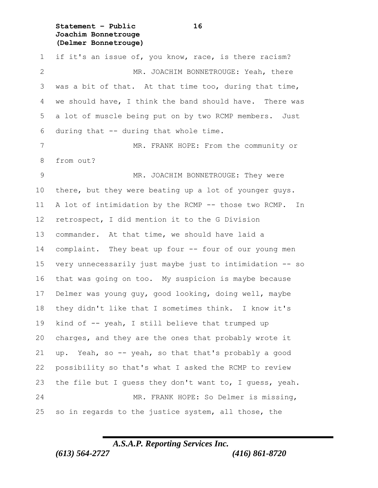**Statement – Public 16 Joachim Bonnetrouge (Delmer Bonnetrouge)**

 if it's an issue of, you know, race, is there racism? MR. JOACHIM BONNETROUGE: Yeah, there was a bit of that. At that time too, during that time, we should have, I think the band should have. There was a lot of muscle being put on by two RCMP members. Just during that -- during that whole time. 7 MR. FRANK HOPE: From the community or from out? MR. JOACHIM BONNETROUGE: They were there, but they were beating up a lot of younger guys. A lot of intimidation by the RCMP -- those two RCMP. In retrospect, I did mention it to the G Division commander. At that time, we should have laid a complaint. They beat up four -- four of our young men very unnecessarily just maybe just to intimidation -- so that was going on too. My suspicion is maybe because Delmer was young guy, good looking, doing well, maybe they didn't like that I sometimes think. I know it's kind of -- yeah, I still believe that trumped up charges, and they are the ones that probably wrote it up. Yeah, so -- yeah, so that that's probably a good possibility so that's what I asked the RCMP to review the file but I guess they don't want to, I guess, yeah. MR. FRANK HOPE: So Delmer is missing, so in regards to the justice system, all those, the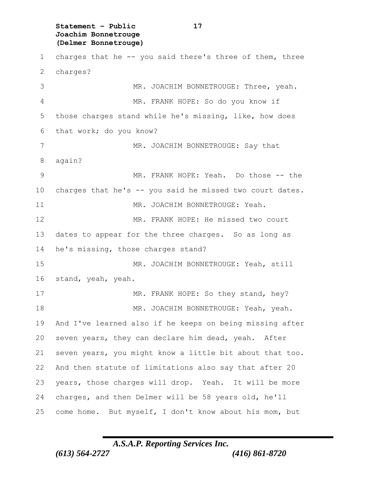**Statement – Public 17 Joachim Bonnetrouge (Delmer Bonnetrouge)**

 charges that he -- you said there's three of them, three charges? MR. JOACHIM BONNETROUGE: Three, yeah. MR. FRANK HOPE: So do you know if those charges stand while he's missing, like, how does that work; do you know? 7 MR. JOACHIM BONNETROUGE: Say that again? 9 MR. FRANK HOPE: Yeah. Do those -- the charges that he's -- you said he missed two court dates. 11 MR. JOACHIM BONNETROUGE: Yeah. MR. FRANK HOPE: He missed two court dates to appear for the three charges. So as long as he's missing, those charges stand? MR. JOACHIM BONNETROUGE: Yeah, still stand, yeah, yeah. 17 MR. FRANK HOPE: So they stand, hey? 18 MR. JOACHIM BONNETROUGE: Yeah, yeah. And I've learned also if he keeps on being missing after seven years, they can declare him dead, yeah. After seven years, you might know a little bit about that too. And then statute of limitations also say that after 20 years, those charges will drop. Yeah. It will be more charges, and then Delmer will be 58 years old, he'll come home. But myself, I don't know about his mom, but

## *A.S.A.P. Reporting Services Inc.*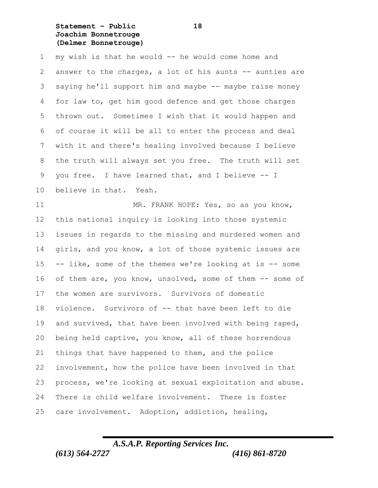**Statement – Public 18 Joachim Bonnetrouge (Delmer Bonnetrouge)**

 my wish is that he would -- he would come home and 2 answer to the charges, a lot of his aunts -- aunties are saying he'll support him and maybe -- maybe raise money for law to, get him good defence and get those charges thrown out. Sometimes I wish that it would happen and of course it will be all to enter the process and deal with it and there's healing involved because I believe the truth will always set you free. The truth will set you free. I have learned that, and I believe -- I believe in that. Yeah.

 MR. FRANK HOPE: Yes, so as you know, this national inquiry is looking into those systemic issues in regards to the missing and murdered women and girls, and you know, a lot of those systemic issues are -- like, some of the themes we're looking at is -- some of them are, you know, unsolved, some of them -- some of the women are survivors. Survivors of domestic violence. Survivors of -- that have been left to die and survived, that have been involved with being raped, being held captive, you know, all of these horrendous things that have happened to them, and the police involvement, how the police have been involved in that process, we're looking at sexual exploitation and abuse. There is child welfare involvement. There is foster care involvement. Adoption, addiction, healing,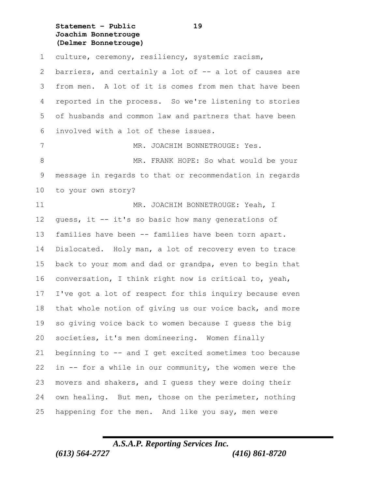**Statement – Public 19 Joachim Bonnetrouge (Delmer Bonnetrouge)**

culture, ceremony, resiliency, systemic racism,

2 barriers, and certainly a lot of -- a lot of causes are from men. A lot of it is comes from men that have been reported in the process. So we're listening to stories of husbands and common law and partners that have been involved with a lot of these issues.

7 MR. JOACHIM BONNETROUGE: Yes. 8 MR. FRANK HOPE: So what would be your message in regards to that or recommendation in regards to your own story?

11 MR. JOACHIM BONNETROUGE: Yeah, I guess, it -- it's so basic how many generations of families have been -- families have been torn apart. Dislocated. Holy man, a lot of recovery even to trace back to your mom and dad or grandpa, even to begin that conversation, I think right now is critical to, yeah, I've got a lot of respect for this inquiry because even 18 that whole notion of giving us our voice back, and more so giving voice back to women because I guess the big societies, it's men domineering. Women finally beginning to -- and I get excited sometimes too because in -- for a while in our community, the women were the movers and shakers, and I guess they were doing their own healing. But men, those on the perimeter, nothing happening for the men. And like you say, men were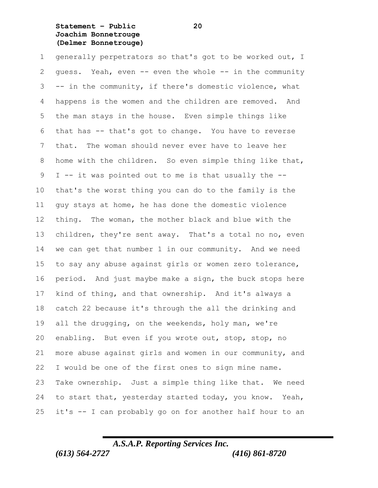**Statement – Public 20 Joachim Bonnetrouge (Delmer Bonnetrouge)**

 generally perpetrators so that's got to be worked out, I guess. Yeah, even -- even the whole -- in the community -- in the community, if there's domestic violence, what happens is the women and the children are removed. And the man stays in the house. Even simple things like that has -- that's got to change. You have to reverse that. The woman should never ever have to leave her home with the children. So even simple thing like that, I -- it was pointed out to me is that usually the -- that's the worst thing you can do to the family is the guy stays at home, he has done the domestic violence thing. The woman, the mother black and blue with the children, they're sent away. That's a total no no, even we can get that number 1 in our community. And we need to say any abuse against girls or women zero tolerance, period. And just maybe make a sign, the buck stops here kind of thing, and that ownership. And it's always a catch 22 because it's through the all the drinking and all the drugging, on the weekends, holy man, we're enabling. But even if you wrote out, stop, stop, no more abuse against girls and women in our community, and I would be one of the first ones to sign mine name. Take ownership. Just a simple thing like that. We need to start that, yesterday started today, you know. Yeah, it's -- I can probably go on for another half hour to an

## *A.S.A.P. Reporting Services Inc.*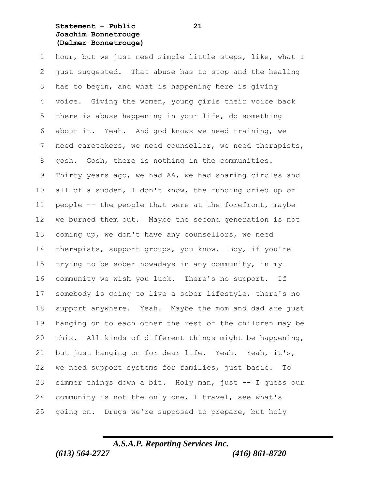**Statement – Public 21 Joachim Bonnetrouge (Delmer Bonnetrouge)**

 hour, but we just need simple little steps, like, what I just suggested. That abuse has to stop and the healing has to begin, and what is happening here is giving voice. Giving the women, young girls their voice back there is abuse happening in your life, do something about it. Yeah. And god knows we need training, we need caretakers, we need counsellor, we need therapists, gosh. Gosh, there is nothing in the communities. Thirty years ago, we had AA, we had sharing circles and all of a sudden, I don't know, the funding dried up or people -- the people that were at the forefront, maybe we burned them out. Maybe the second generation is not coming up, we don't have any counsellors, we need therapists, support groups, you know. Boy, if you're trying to be sober nowadays in any community, in my community we wish you luck. There's no support. If somebody is going to live a sober lifestyle, there's no support anywhere. Yeah. Maybe the mom and dad are just hanging on to each other the rest of the children may be this. All kinds of different things might be happening, but just hanging on for dear life. Yeah. Yeah, it's, we need support systems for families, just basic. To simmer things down a bit. Holy man, just -- I guess our community is not the only one, I travel, see what's going on. Drugs we're supposed to prepare, but holy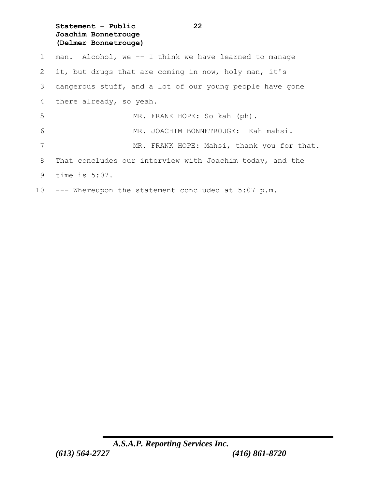**Statement – Public 22 Joachim Bonnetrouge (Delmer Bonnetrouge)**

 man. Alcohol, we -- I think we have learned to manage it, but drugs that are coming in now, holy man, it's dangerous stuff, and a lot of our young people have gone there already, so yeah. MR. FRANK HOPE: So kah (ph). MR. JOACHIM BONNETROUGE: Kah mahsi. 7 MR. FRANK HOPE: Mahsi, thank you for that. That concludes our interview with Joachim today, and the time is 5:07. --- Whereupon the statement concluded at 5:07 p.m.